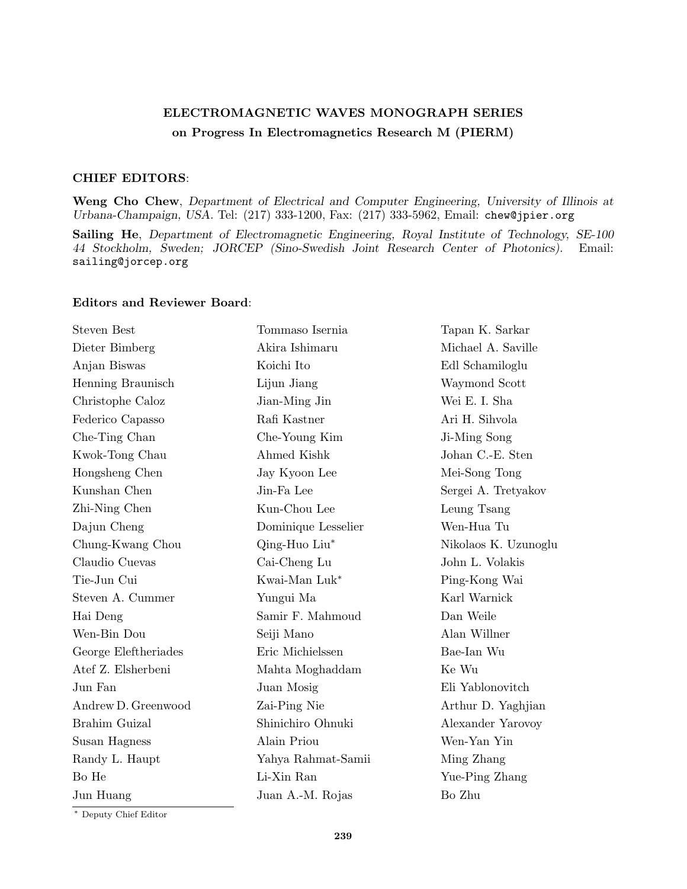## **ELECTROMAGNETIC WAVES MONOGRAPH SERIES on Progress In Electromagnetics Research M (PIERM)**

## **CHIEF EDITORS**:

**Weng Cho Chew**, *Department of Electrical and Computer Engineering, University of Illinois at Urbana-Champaign, USA.* Tel: (217) 333-1200, Fax: (217) 333-5962, Email: chew@jpier.org

**Sailing He**, *Department of Electromagnetic Engineering, Royal Institute of Technology, SE-100 44 Stockholm, Sweden; JORCEP (Sino-Swedish Joint Research Center of Photonics).* Email: sailing@jorcep.org

## **Editors and Reviewer Board**:

| <b>Steven Best</b>   | Tommaso Isernia     | Tapan K. Sarkar      |
|----------------------|---------------------|----------------------|
| Dieter Bimberg       | Akira Ishimaru      | Michael A. Saville   |
| Anjan Biswas         | Koichi Ito          | Edl Schamiloglu      |
| Henning Braunisch    | Lijun Jiang         | Waymond Scott        |
| Christophe Caloz     | Jian-Ming Jin       | Wei E. I. Sha        |
| Federico Capasso     | Rafi Kastner        | Ari H. Sihvola       |
| Che-Ting Chan        | Che-Young Kim       | Ji-Ming Song         |
| Kwok-Tong Chau       | Ahmed Kishk         | Johan C.-E. Sten     |
| Hongsheng Chen       | Jay Kyoon Lee       | Mei-Song Tong        |
| Kunshan Chen         | Jin-Fa Lee          | Sergei A. Tretyakov  |
| Zhi-Ning Chen        | Kun-Chou Lee        | Leung Tsang          |
| Dajun Cheng          | Dominique Lesselier | Wen-Hua Tu           |
| Chung-Kwang Chou     | Qing-Huo Liu*       | Nikolaos K. Uzunoglu |
| Claudio Cuevas       | Cai-Cheng Lu        | John L. Volakis      |
| Tie-Jun Cui          | Kwai-Man Luk*       | Ping-Kong Wai        |
| Steven A. Cummer     | Yungui Ma           | Karl Warnick         |
| Hai Deng             | Samir F. Mahmoud    | Dan Weile            |
| Wen-Bin Dou          | Seiji Mano          | Alan Willner         |
| George Eleftheriades | Eric Michielssen    | Bae-Ian Wu           |
| Atef Z. Elsherbeni   | Mahta Moghaddam     | Ke Wu                |
| Jun Fan              | Juan Mosig          | Eli Yablonovitch     |
| Andrew D. Greenwood  | Zai-Ping Nie        | Arthur D. Yaghjian   |
| Brahim Guizal        | Shinichiro Ohnuki   | Alexander Yarovoy    |
| Susan Hagness        | Alain Priou         | Wen-Yan Yin          |
| Randy L. Haupt       | Yahya Rahmat-Samii  | Ming Zhang           |
| Bo He                | Li-Xin Ran          | Yue-Ping Zhang       |
| Jun Huang            | Juan A.-M. Rojas    | Bo Zhu               |
|                      |                     |                      |

*∗* Deputy Chief Editor